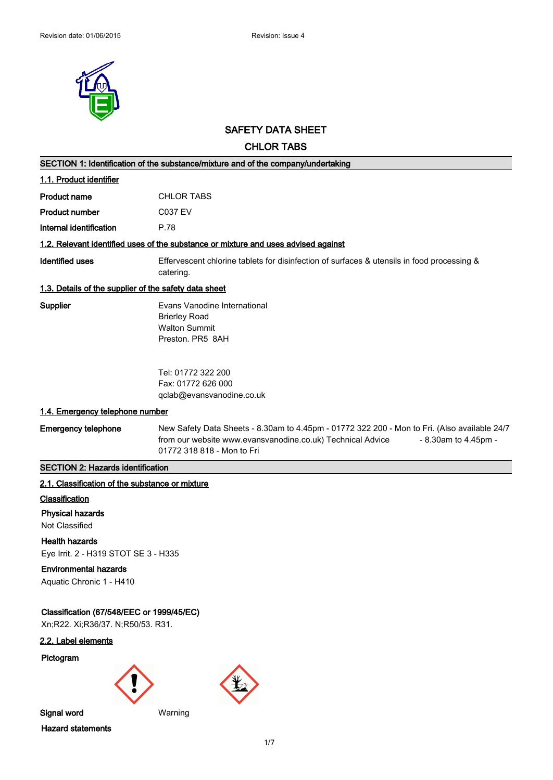

# **SAFETY DATA SHEET**

# **CHLOR TABS**

|                                                                                | SECTION 1: Identification of the substance/mixture and of the company/undertaking                                                                                                                                |
|--------------------------------------------------------------------------------|------------------------------------------------------------------------------------------------------------------------------------------------------------------------------------------------------------------|
| 1.1. Product identifier                                                        |                                                                                                                                                                                                                  |
| <b>Product name</b>                                                            | <b>CHLOR TABS</b>                                                                                                                                                                                                |
| <b>Product number</b>                                                          | <b>C037 EV</b>                                                                                                                                                                                                   |
| Internal identification                                                        | P.78                                                                                                                                                                                                             |
|                                                                                | 1.2. Relevant identified uses of the substance or mixture and uses advised against                                                                                                                               |
| <b>Identified uses</b>                                                         | Effervescent chlorine tablets for disinfection of surfaces & utensils in food processing &<br>catering.                                                                                                          |
| 1.3. Details of the supplier of the safety data sheet                          |                                                                                                                                                                                                                  |
| Supplier                                                                       | Evans Vanodine International<br><b>Brierley Road</b><br><b>Walton Summit</b><br>Preston. PR5 8AH                                                                                                                 |
|                                                                                | Tel: 01772 322 200<br>Fax: 01772 626 000<br>qclab@evansvanodine.co.uk                                                                                                                                            |
| 1.4. Emergency telephone number                                                |                                                                                                                                                                                                                  |
| <b>Emergency telephone</b>                                                     | New Safety Data Sheets - 8.30am to 4.45pm - 01772 322 200 - Mon to Fri. (Also available 24/7<br>from our website www.evansvanodine.co.uk) Technical Advice<br>- 8.30am to 4.45pm -<br>01772 318 818 - Mon to Fri |
| <b>SECTION 2: Hazards identification</b>                                       |                                                                                                                                                                                                                  |
| 2.1. Classification of the substance or mixture                                |                                                                                                                                                                                                                  |
| <b>Classification</b>                                                          |                                                                                                                                                                                                                  |
| <b>Physical hazards</b>                                                        |                                                                                                                                                                                                                  |
| Not Classified                                                                 |                                                                                                                                                                                                                  |
| <b>Health hazards</b><br>Eye Irrit. 2 - H319 STOT SE 3 - H335                  |                                                                                                                                                                                                                  |
| <b>Environmental hazards</b><br>Aquatic Chronic 1 - H410                       |                                                                                                                                                                                                                  |
| Classification (67/548/EEC or 1999/45/EC)<br>Xn;R22. Xi;R36/37. N;R50/53. R31. |                                                                                                                                                                                                                  |
| 2.2. Label elements                                                            |                                                                                                                                                                                                                  |
| Pictogram                                                                      |                                                                                                                                                                                                                  |





**Hazard statements**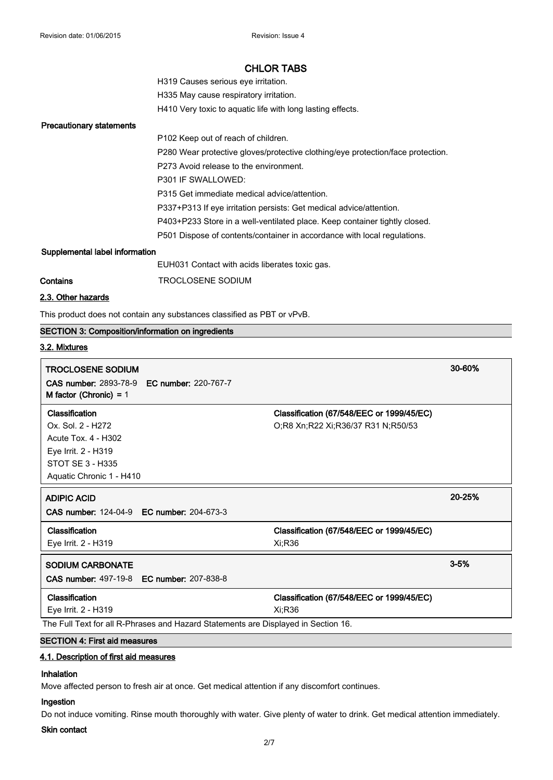| H319 Causes serious eve irritation.                        |
|------------------------------------------------------------|
| H335 May cause respiratory irritation.                     |
| H410 Very toxic to aquatic life with long lasting effects. |

#### **Precautionary statements**

P102 Keep out of reach of children. P280 Wear protective gloves/protective clothing/eye protection/face protection. P273 Avoid release to the environment. P301 IF SWALLOWED: P315 Get immediate medical advice/attention. P337+P313 If eye irritation persists: Get medical advice/attention. P403+P233 Store in a well-ventilated place. Keep container tightly closed. P501 Dispose of contents/container in accordance with local regulations.

### **Supplemental label information**

| EUH031 Contact with acids liberates toxic gas. |  |
|------------------------------------------------|--|
|------------------------------------------------|--|

**Contains TROCLOSENE SODIUM** 

# **2.3. Other hazards**

This product does not contain any substances classified as PBT or vPvB.

# **SECTION 3: Composition/information on ingredients**

# **3.2. Mixtures**

| <b>TROCLOSENE SODIUM</b>                                                           |                                           | 30-60%   |
|------------------------------------------------------------------------------------|-------------------------------------------|----------|
| <b>CAS number: 2893-78-9 EC number: 220-767-7</b><br>M factor (Chronic) = $1$      |                                           |          |
| Classification                                                                     | Classification (67/548/EEC or 1999/45/EC) |          |
| Ox. Sol. 2 - H272                                                                  | O;R8 Xn;R22 Xi;R36/37 R31 N;R50/53        |          |
| Acute Tox. 4 - H302                                                                |                                           |          |
| Eye Irrit. 2 - H319                                                                |                                           |          |
| STOT SE 3 - H335                                                                   |                                           |          |
| Aquatic Chronic 1 - H410                                                           |                                           |          |
| <b>ADIPIC ACID</b>                                                                 |                                           | 20-25%   |
| <b>CAS number: 124-04-9 EC number: 204-673-3</b>                                   |                                           |          |
| Classification                                                                     | Classification (67/548/EEC or 1999/45/EC) |          |
| Eye Irrit. 2 - H319                                                                | Xi:R36                                    |          |
| <b>SODIUM CARBONATE</b>                                                            |                                           | $3 - 5%$ |
| <b>CAS number: 497-19-8 EC number: 207-838-8</b>                                   |                                           |          |
| Classification                                                                     | Classification (67/548/EEC or 1999/45/EC) |          |
| Eye Irrit. 2 - H319                                                                | Xi:R36                                    |          |
| The Full Text for all R-Phrases and Hazard Statements are Displayed in Section 16. |                                           |          |
| <b>SECTION 4: First aid measures</b>                                               |                                           |          |

# **4.1. Description of first aid measures**

# **Inhalation**

Move affected person to fresh air at once. Get medical attention if any discomfort continues.

# **Ingestion**

Do not induce vomiting. Rinse mouth thoroughly with water. Give plenty of water to drink. Get medical attention immediately.

### **Skin contact**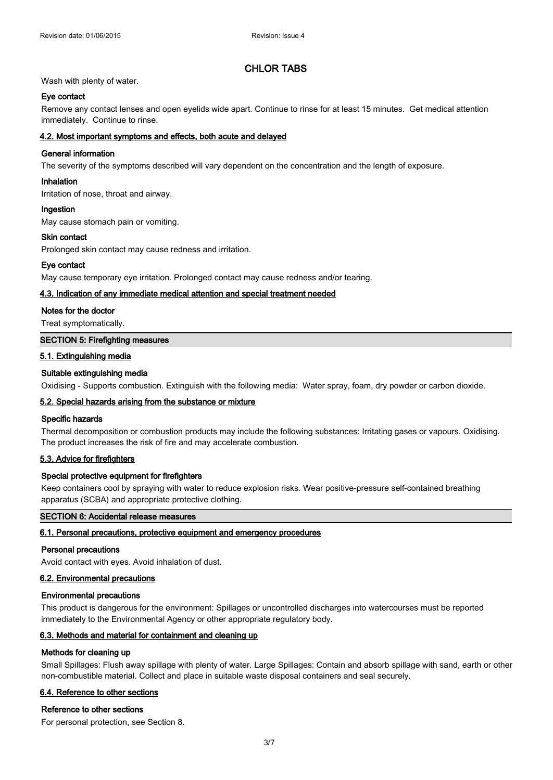# Wash with plenty of water.

# **Eye contact**

Remove any contact lenses and open eyelids wide apart. Continue to rinse for at least 15 minutes. Get medical attention immediately. Continue to rinse.

# **4.2. Most important symptoms and effects, both acute and delayed**

# **General information**

The severity of the symptoms described will vary dependent on the concentration and the length of exposure.

# **Inhalation**

Irritation of nose, throat and airway.

### **Ingestion**

May cause stomach pain or vomiting.

# **Skin contact**

Prolonged skin contact may cause redness and irritation.

# **Eye contact**

May cause temporary eye irritation. Prolonged contact may cause redness and/or tearing.

### **4.3. Indication of any immediate medical attention and special treatment needed**

### **Notes for the doctor**

Treat symptomatically.

# **SECTION 5: Firefighting measures**

# **5.1. Extinguishing media**

# **Suitable extinguishing media**

Oxidising - Supports combustion. Extinguish with the following media: Water spray, foam, dry powder or carbon dioxide.

# **5.2. Special hazards arising from the substance or mixture**

### **Specific hazards**

Thermal decomposition or combustion products may include the following substances: Irritating gases or vapours. Oxidising. The product increases the risk of fire and may accelerate combustion.

# **5.3. Advice for firefighters**

# **Special protective equipment for firefighters**

Keep containers cool by spraying with water to reduce explosion risks. Wear positive-pressure self-contained breathing apparatus (SCBA) and appropriate protective clothing.

# **SECTION 6: Accidental release measures**

### **6.1. Personal precautions, protective equipment and emergency procedures**

### **Personal precautions**

Avoid contact with eyes. Avoid inhalation of dust.

# **6.2. Environmental precautions**

## **Environmental precautions**

This product is dangerous for the environment: Spillages or uncontrolled discharges into watercourses must be reported immediately to the Environmental Agency or other appropriate regulatory body.

# **6.3. Methods and material for containment and cleaning up**

### **Methods for cleaning up**

Small Spillages: Flush away spillage with plenty of water. Large Spillages: Contain and absorb spillage with sand, earth or other non-combustible material. Collect and place in suitable waste disposal containers and seal securely.

# **6.4. Reference to other sections**

### **Reference to other sections**

For personal protection, see Section 8.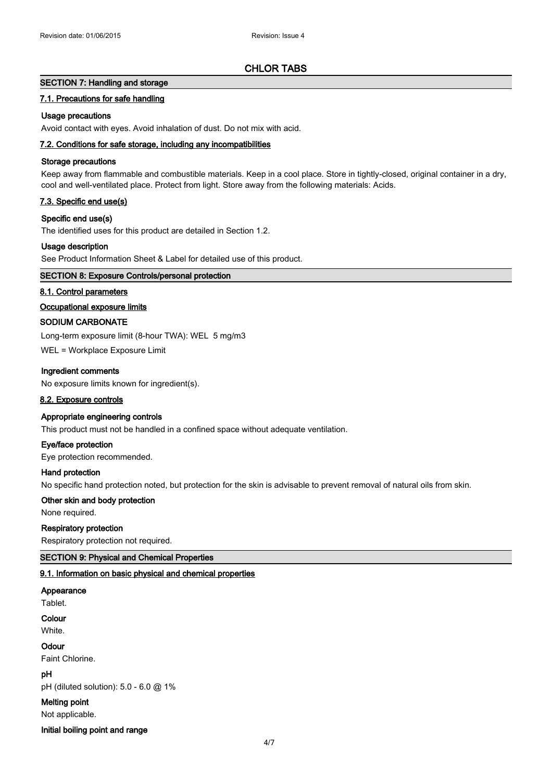# **SECTION 7: Handling and storage**

### **7.1. Precautions for safe handling**

## **Usage precautions**

Avoid contact with eyes. Avoid inhalation of dust. Do not mix with acid.

# **7.2. Conditions for safe storage, including any incompatibilities**

#### **Storage precautions**

Keep away from flammable and combustible materials. Keep in a cool place. Store in tightly-closed, original container in a dry, cool and well-ventilated place. Protect from light. Store away from the following materials: Acids.

### **7.3. Specific end use(s)**

#### **Specific end use(s)**

The identified uses for this product are detailed in Section 1.2.

## **Usage description**

See Product Information Sheet & Label for detailed use of this product.

# **SECTION 8: Exposure Controls/personal protection**

#### **8.1. Control parameters**

#### **Occupational exposure limits**

#### **SODIUM CARBONATE**

Long-term exposure limit (8-hour TWA): WEL 5 mg/m3

WEL = Workplace Exposure Limit

#### **Ingredient comments**

No exposure limits known for ingredient(s).

#### **8.2. Exposure controls**

## **Appropriate engineering controls**

This product must not be handled in a confined space without adequate ventilation.

#### **Eye/face protection**

Eye protection recommended.

#### **Hand protection**

No specific hand protection noted, but protection for the skin is advisable to prevent removal of natural oils from skin.

# **Other skin and body protection**

None required.

#### **Respiratory protection**

Respiratory protection not required.

# **SECTION 9: Physical and Chemical Properties**

# **9.1. Information on basic physical and chemical properties**

### **Appearance**

Tablet.

# **Colour**

White.

# **Odour**

Faint Chlorine.

# **pH**

pH (diluted solution): 5.0 - 6.0 @ 1%

**Melting point**

Not applicable.

#### **Initial boiling point and range**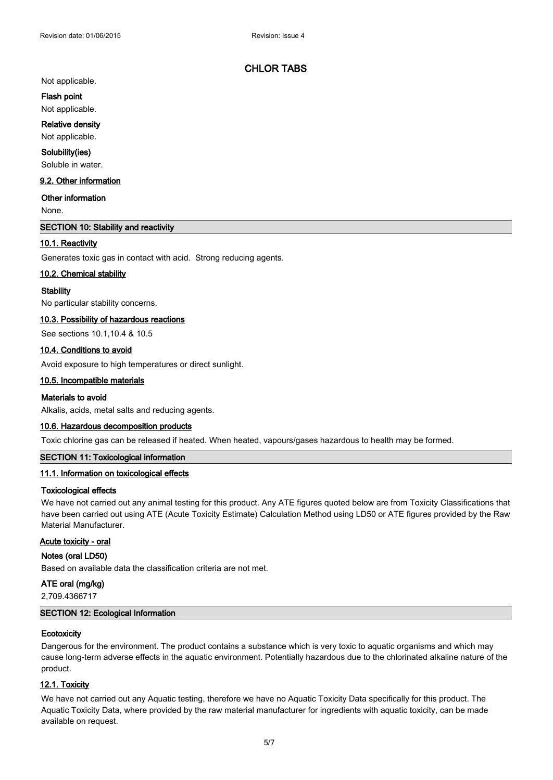Not applicable.

#### **Flash point**

Not applicable.

# **Relative density**

Not applicable.

#### **Solubility(ies)**

Soluble in water.

# **9.2. Other information**

### **Other information**

None.

# **SECTION 10: Stability and reactivity**

### **10.1. Reactivity**

Generates toxic gas in contact with acid. Strong reducing agents.

#### **10.2. Chemical stability**

#### **Stability**

No particular stability concerns.

#### **10.3. Possibility of hazardous reactions**

See sections 10.1,10.4 & 10.5

#### **10.4. Conditions to avoid**

Avoid exposure to high temperatures or direct sunlight.

## **10.5. Incompatible materials**

#### **Materials to avoid**

Alkalis, acids, metal salts and reducing agents.

### **10.6. Hazardous decomposition products**

Toxic chlorine gas can be released if heated. When heated, vapours/gases hazardous to health may be formed.

# **SECTION 11: Toxicological information**

# **11.1. Information on toxicological effects**

#### **Toxicological effects**

We have not carried out any animal testing for this product. Any ATE figures quoted below are from Toxicity Classifications that have been carried out using ATE (Acute Toxicity Estimate) Calculation Method using LD50 or ATE figures provided by the Raw Material Manufacturer.

#### **Acute toxicity - oral**

### **Notes (oral LD50)**

Based on available data the classification criteria are not met.

# **ATE oral (mg/kg)**

2,709.4366717

### **SECTION 12: Ecological Information**

#### **Ecotoxicity**

Dangerous for the environment. The product contains a substance which is very toxic to aquatic organisms and which may cause long-term adverse effects in the aquatic environment. Potentially hazardous due to the chlorinated alkaline nature of the product.

# **12.1. Toxicity**

We have not carried out any Aquatic testing, therefore we have no Aquatic Toxicity Data specifically for this product. The Aquatic Toxicity Data, where provided by the raw material manufacturer for ingredients with aquatic toxicity, can be made available on request.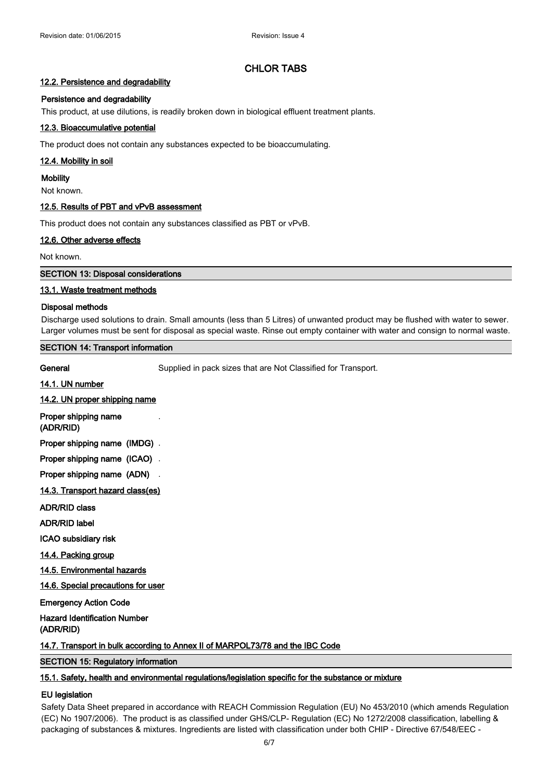## **12.2. Persistence and degradability**

## **Persistence and degradability**

This product, at use dilutions, is readily broken down in biological effluent treatment plants.

# **12.3. Bioaccumulative potential**

The product does not contain any substances expected to be bioaccumulating.

#### **12.4. Mobility in soil**

**Mobility**

Not known.

## **12.5. Results of PBT and vPvB assessment**

This product does not contain any substances classified as PBT or vPvB.

# **12.6. Other adverse effects**

Not known.

**SECTION 13: Disposal considerations**

### **13.1. Waste treatment methods**

# **Disposal methods**

Discharge used solutions to drain. Small amounts (less than 5 Litres) of unwanted product may be flushed with water to sewer. Larger volumes must be sent for disposal as special waste. Rinse out empty container with water and consign to normal waste.

# **SECTION 14: Transport information**

General Supplied in pack sizes that are Not Classified for Transport.

#### **14.1. UN number**

# **14.2. UN proper shipping name**

**Proper shipping name** . **(ADR/RID)**

**Proper shipping name (IMDG)** .

**Proper shipping name (ICAO)** .

**Proper shipping name (ADN)** .

**14.3. Transport hazard class(es)**

**ADR/RID class**

**ADR/RID label**

**ICAO subsidiary risk**

**14.4. Packing group**

**14.5. Environmental hazards**

**14.6. Special precautions for user**

**Emergency Action Code**

**Hazard Identification Number (ADR/RID)**

**14.7. Transport in bulk according to Annex II of MARPOL73/78 and the IBC Code**

# **SECTION 15: Regulatory information**

### **15.1. Safety, health and environmental regulations/legislation specific for the substance or mixture**

## **EU legislation**

Safety Data Sheet prepared in accordance with REACH Commission Regulation (EU) No 453/2010 (which amends Regulation (EC) No 1907/2006). The product is as classified under GHS/CLP- Regulation (EC) No 1272/2008 classification, labelling & packaging of substances & mixtures. Ingredients are listed with classification under both CHIP - Directive 67/548/EEC -